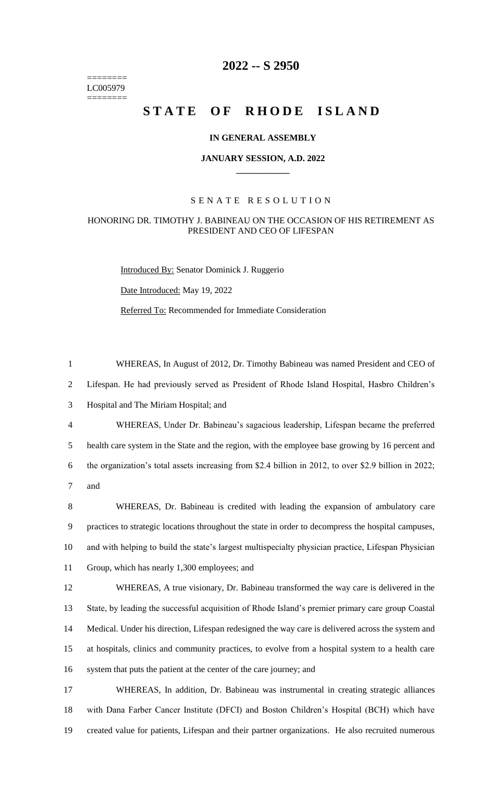======== LC005979 ========

## **2022 -- S 2950**

# STATE OF RHODE ISLAND

## **IN GENERAL ASSEMBLY**

### **JANUARY SESSION, A.D. 2022 \_\_\_\_\_\_\_\_\_\_\_\_**

## S E N A T E R E S O L U T I O N

## HONORING DR. TIMOTHY J. BABINEAU ON THE OCCASION OF HIS RETIREMENT AS PRESIDENT AND CEO OF LIFESPAN

Introduced By: Senator Dominick J. Ruggerio Date Introduced: May 19, 2022 Referred To: Recommended for Immediate Consideration

| $\mathbf{1}$   | WHEREAS, In August of 2012, Dr. Timothy Babineau was named President and CEO of                       |
|----------------|-------------------------------------------------------------------------------------------------------|
| 2              | Lifespan. He had previously served as President of Rhode Island Hospital, Hasbro Children's           |
| 3              | Hospital and The Miriam Hospital; and                                                                 |
| $\overline{4}$ | WHEREAS, Under Dr. Babineau's sagacious leadership, Lifespan became the preferred                     |
| 5              | health care system in the State and the region, with the employee base growing by 16 percent and      |
| 6              | the organization's total assets increasing from \$2.4 billion in 2012, to over \$2.9 billion in 2022; |
| 7              | and                                                                                                   |
| 8              | WHEREAS, Dr. Babineau is credited with leading the expansion of ambulatory care                       |
| 9              | practices to strategic locations throughout the state in order to decompress the hospital campuses,   |
| 10             | and with helping to build the state's largest multispecialty physician practice, Lifespan Physician   |
| 11             | Group, which has nearly 1,300 employees; and                                                          |
| 12             | WHEREAS, A true visionary, Dr. Babineau transformed the way care is delivered in the                  |
| 13             | State, by leading the successful acquisition of Rhode Island's premier primary care group Coastal     |
| 14             | Medical. Under his direction, Lifespan redesigned the way care is delivered across the system and     |
| 15             | at hospitals, clinics and community practices, to evolve from a hospital system to a health care      |
| 16             | system that puts the patient at the center of the care journey; and                                   |
| 17             | WHEREAS, In addition, Dr. Babineau was instrumental in creating strategic alliances                   |
| 18             | with Dana Farber Cancer Institute (DFCI) and Boston Children's Hospital (BCH) which have              |
| 19             | created value for patients, Lifespan and their partner organizations. He also recruited numerous      |